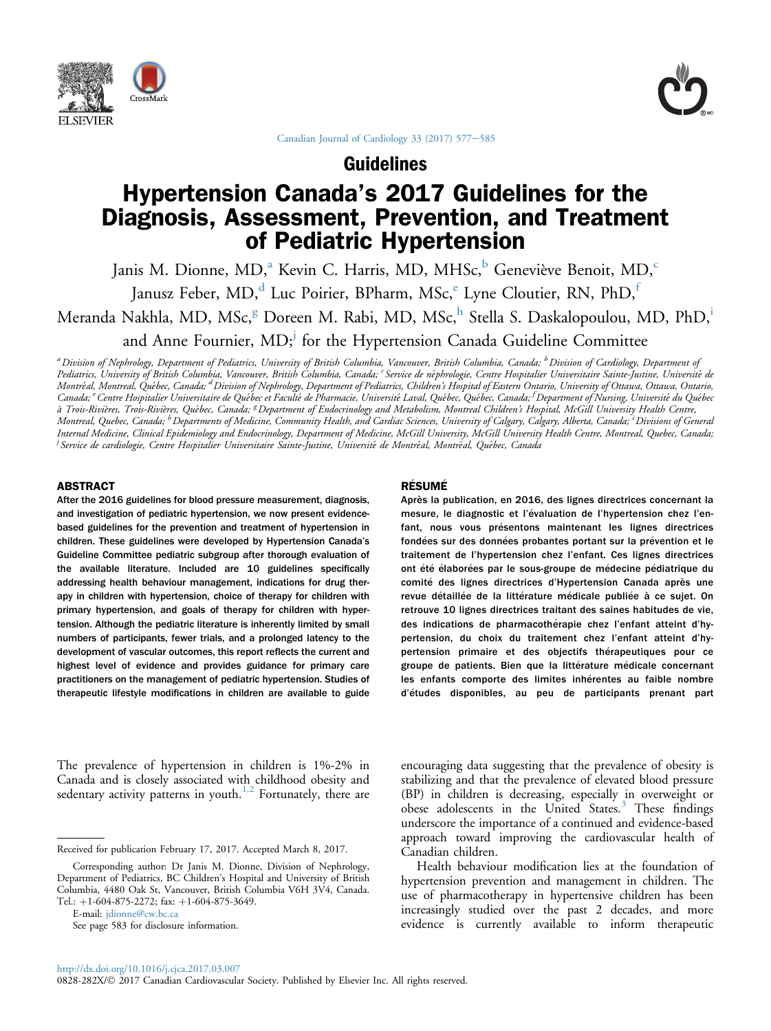



[Canadian Journal of Cardiology 33 \(2017\) 577](http://dx.doi.org/10.1016/j.cjca.2017.03.007)-[585](http://dx.doi.org/10.1016/j.cjca.2017.03.007)

Guidelines

# Hypertension Canada's 2017 Guidelines for the Diagnosis, Assessment, Prevention, and Treatment of Pediatric Hypertension

Janis M. Dionne, MD,<sup>a</sup> Kevin C. Harris, MD, MHSc,<sup>b</sup> Geneviève Benoit, MD,<sup>c</sup>

Janusz Feber, MD,<sup>d</sup> Luc Poirier, BPharm, MSc,<sup>e</sup> Lyne Cloutier, RN, PhD,<sup>f</sup>

Meranda Nakhla, MD, MSc,<sup>g</sup> Doreen M. Rabi, MD, MSc,<sup>h</sup> Stella S. Daskalopoulou, MD, PhD,<sup>i</sup>

and Anne Fournier, MD;<sup>j</sup> for the Hypertension Canada Guideline Committee

<sup>a</sup> Division of Nephrology, Department of Pediatrics, University of British Columbia, Vancouver, British Columbia, Canada; <sup>b</sup> Division of Cardiology, Department of Pediatrics, University of British Columbia, Vancouver, British Čolumbia, Canada; <sup>c</sup> Service de néphrologie, Centre Hospitalier Universitaire Sainte-Justine, Université de Montréal, Montreal, Québec, Canada; <sup>a</sup> Division of Nephrology, Department of Pediatrics, Children's Hospital of Eastern Ontario, University of Ottawa, Ottawa, Ontario, Canada; <sup>e</sup> Centre Hospitalier Universitaire de Québec et Faculté de Pharmacie, Université Laval, Québec, Québec, Canada; <sup>f</sup> Department of Nursing, Université du Québec à Trois-Rivières, Trois-Rivières, Québec, Canada; <sup>g</sup> Department of Endocrinology and Metabolism, Montreal Children's Hospital, McGill University Health Centre, Montreal, Quebec, Canada; <sup>h</sup> Departments of Medicine, Community Health, and Cardiac Sciences, University of Calgary, Calgary, Alberta, Canada; <sup>i</sup> Divisions of General Internal Medicine, Clinical Epidemiology and Endocrinology, Department of Medicine, McGill University, McGill University Health Centre, Montreal, Quebec, Canada; <sup>i</sup> Service de cardiologie, Centre Hospitalier Universitaire Sainte-Justine, Université de Montréal, Montréal, Québec, Canada

#### ABSTRACT

After the 2016 guidelines for blood pressure measurement, diagnosis, and investigation of pediatric hypertension, we now present evidencebased guidelines for the prevention and treatment of hypertension in children. These guidelines were developed by Hypertension Canada's Guideline Committee pediatric subgroup after thorough evaluation of the available literature. Included are 10 guidelines specifically addressing health behaviour management, indications for drug therapy in children with hypertension, choice of therapy for children with primary hypertension, and goals of therapy for children with hypertension. Although the pediatric literature is inherently limited by small numbers of participants, fewer trials, and a prolonged latency to the development of vascular outcomes, this report reflects the current and highest level of evidence and provides guidance for primary care practitioners on the management of pediatric hypertension. Studies of therapeutic lifestyle modifications in children are available to guide

The prevalence of hypertension in children is 1%-2% in Canada and is closely associated with childhood obesity and sedentary activity patterns in youth.<sup>[1,2](#page-6-0)</sup> Fortunately, there are

E-mail: [jdionne@cw.bc.ca](mailto:jdionne@cw.bc.ca)

#### **RÉSUMÉ**

Après la publication, en 2016, des lignes directrices concernant la mesure, le diagnostic et l'évaluation de l'hypertension chez l'enfant, nous vous présentons maintenant les lignes directrices fondées sur des données probantes portant sur la prévention et le traitement de l'hypertension chez l'enfant. Ces lignes directrices ont été élaborées par le sous-groupe de médecine pédiatrique du comité des lignes directrices d'Hypertension Canada après une revue détaillée de la littérature médicale publiée à ce sujet. On retrouve 10 lignes directrices traitant des saines habitudes de vie, des indications de pharmacothérapie chez l'enfant atteint d'hypertension, du choix du traitement chez l'enfant atteint d'hypertension primaire et des objectifs thérapeutiques pour ce groupe de patients. Bien que la littérature médicale concernant les enfants comporte des limites inhérentes au faible nombre d'etudes disponibles, au peu de participants prenant part

encouraging data suggesting that the prevalence of obesity is stabilizing and that the prevalence of elevated blood pressure (BP) in children is decreasing, especially in overweight or obese adolescents in the United States.<sup>[3](#page-6-0)</sup> These findings underscore the importance of a continued and evidence-based approach toward improving the cardiovascular health of Canadian children.

Health behaviour modification lies at the foundation of hypertension prevention and management in children. The use of pharmacotherapy in hypertensive children has been increasingly studied over the past 2 decades, and more evidence is currently available to inform therapeutic

Received for publication February 17, 2017. Accepted March 8, 2017.

Corresponding author: Dr Janis M. Dionne, Division of Nephrology, Department of Pediatrics, BC Children's Hospital and University of British Columbia, 4480 Oak St, Vancouver, British Columbia V6H 3V4, Canada. Tel.: +1-604-875-2272; fax: +1-604-875-3649.

See page 583 for disclosure information.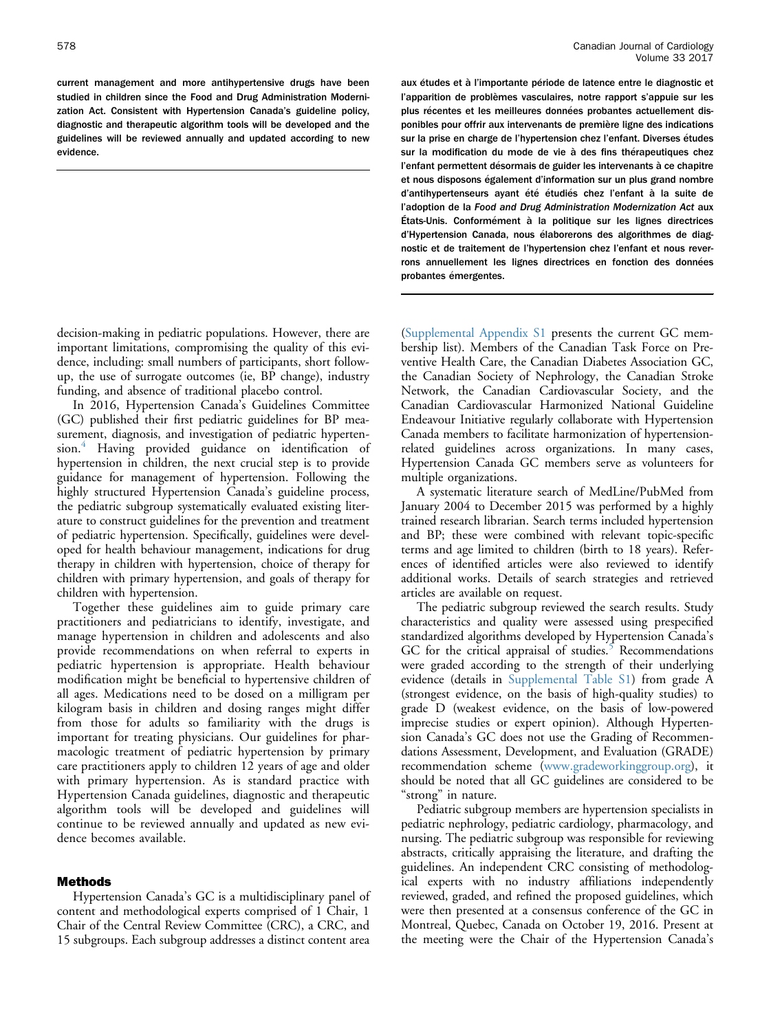current management and more antihypertensive drugs have been studied in children since the Food and Drug Administration Modernization Act. Consistent with Hypertension Canada's guideline policy, diagnostic and therapeutic algorithm tools will be developed and the guidelines will be reviewed annually and updated according to new evidence.

decision-making in pediatric populations. However, there are important limitations, compromising the quality of this evidence, including: small numbers of participants, short followup, the use of surrogate outcomes (ie, BP change), industry funding, and absence of traditional placebo control.

In 2016, Hypertension Canada's Guidelines Committee (GC) published their first pediatric guidelines for BP measurement, diagnosis, and investigation of pediatric hyperten-sion.<sup>[4](#page-6-0)</sup> Having provided guidance on identification of hypertension in children, the next crucial step is to provide guidance for management of hypertension. Following the highly structured Hypertension Canada's guideline process, the pediatric subgroup systematically evaluated existing literature to construct guidelines for the prevention and treatment of pediatric hypertension. Specifically, guidelines were developed for health behaviour management, indications for drug therapy in children with hypertension, choice of therapy for children with primary hypertension, and goals of therapy for children with hypertension.

Together these guidelines aim to guide primary care practitioners and pediatricians to identify, investigate, and manage hypertension in children and adolescents and also provide recommendations on when referral to experts in pediatric hypertension is appropriate. Health behaviour modification might be beneficial to hypertensive children of all ages. Medications need to be dosed on a milligram per kilogram basis in children and dosing ranges might differ from those for adults so familiarity with the drugs is important for treating physicians. Our guidelines for pharmacologic treatment of pediatric hypertension by primary care practitioners apply to children 12 years of age and older with primary hypertension. As is standard practice with Hypertension Canada guidelines, diagnostic and therapeutic algorithm tools will be developed and guidelines will continue to be reviewed annually and updated as new evidence becomes available.

#### Methods

Hypertension Canada's GC is a multidisciplinary panel of content and methodological experts comprised of 1 Chair, 1 Chair of the Central Review Committee (CRC), a CRC, and 15 subgroups. Each subgroup addresses a distinct content area

aux études et à l'importante période de latence entre le diagnostic et l'apparition de problèmes vasculaires, notre rapport s'appuie sur les plus récentes et les meilleures données probantes actuellement disponibles pour offrir aux intervenants de première ligne des indications sur la prise en charge de l'hypertension chez l'enfant. Diverses etudes sur la modification du mode de vie à des fins thérapeutiques chez l'enfant permettent désormais de guider les intervenants à ce chapitre et nous disposons également d'information sur un plus grand nombre d'antihypertenseurs ayant été étudiés chez l'enfant à la suite de l'adoption de la Food and Drug Administration Modernization Act aux États-Unis. Conformement à la politique sur les lignes directrices d'Hypertension Canada, nous élaborerons des algorithmes de diagnostic et de traitement de l'hypertension chez l'enfant et nous reverrons annuellement les lignes directrices en fonction des données probantes émergentes.

(Supplemental Appendix S1 presents the current GC membership list). Members of the Canadian Task Force on Preventive Health Care, the Canadian Diabetes Association GC, the Canadian Society of Nephrology, the Canadian Stroke Network, the Canadian Cardiovascular Society, and the Canadian Cardiovascular Harmonized National Guideline Endeavour Initiative regularly collaborate with Hypertension Canada members to facilitate harmonization of hypertensionrelated guidelines across organizations. In many cases, Hypertension Canada GC members serve as volunteers for multiple organizations.

A systematic literature search of MedLine/PubMed from January 2004 to December 2015 was performed by a highly trained research librarian. Search terms included hypertension and BP; these were combined with relevant topic-specific terms and age limited to children (birth to 18 years). References of identified articles were also reviewed to identify additional works. Details of search strategies and retrieved articles are available on request.

The pediatric subgroup reviewed the search results. Study characteristics and quality were assessed using prespecified standardized algorithms developed by Hypertension Canada's GC for the critical appraisal of studies.<sup>[5](#page-6-0)</sup> Recommendations were graded according to the strength of their underlying evidence (details in Supplemental Table S1) from grade A (strongest evidence, on the basis of high-quality studies) to grade D (weakest evidence, on the basis of low-powered imprecise studies or expert opinion). Although Hypertension Canada's GC does not use the Grading of Recommendations Assessment, Development, and Evaluation (GRADE) recommendation scheme ([www.gradeworkinggroup.org](http://www.gradeworkinggroup.org)), it should be noted that all GC guidelines are considered to be "strong" in nature.

Pediatric subgroup members are hypertension specialists in pediatric nephrology, pediatric cardiology, pharmacology, and nursing. The pediatric subgroup was responsible for reviewing abstracts, critically appraising the literature, and drafting the guidelines. An independent CRC consisting of methodological experts with no industry affiliations independently reviewed, graded, and refined the proposed guidelines, which were then presented at a consensus conference of the GC in Montreal, Quebec, Canada on October 19, 2016. Present at the meeting were the Chair of the Hypertension Canada's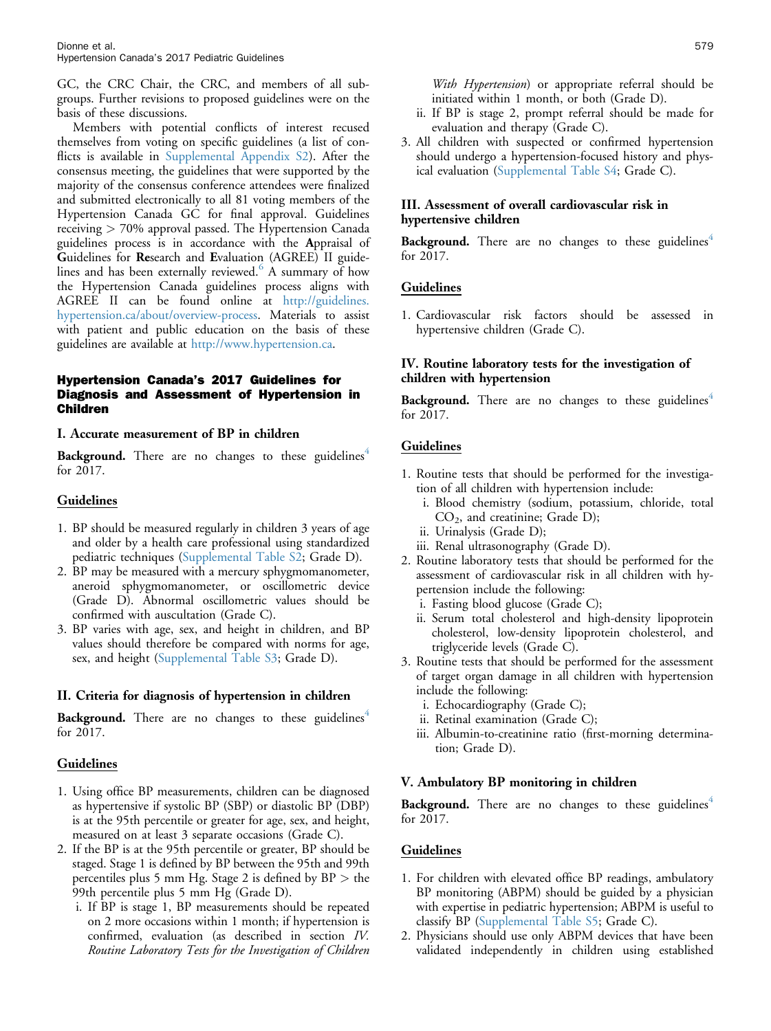GC, the CRC Chair, the CRC, and members of all subgroups. Further revisions to proposed guidelines were on the basis of these discussions.

Members with potential conflicts of interest recused themselves from voting on specific guidelines (a list of conflicts is available in Supplemental Appendix S2). After the consensus meeting, the guidelines that were supported by the majority of the consensus conference attendees were finalized and submitted electronically to all 81 voting members of the Hypertension Canada GC for final approval. Guidelines receiving > 70% approval passed. The Hypertension Canada guidelines process is in accordance with the Appraisal of Guidelines for Research and Evaluation (AGREE) II guidelines and has been externally reviewed. $6$  A summary of how the Hypertension Canada guidelines process aligns with AGREE II can be found online at [http://guidelines.](http://guidelines.hypertension.ca/about/overview-process) [hypertension.ca/about/overview-process](http://guidelines.hypertension.ca/about/overview-process). Materials to assist with patient and public education on the basis of these guidelines are available at <http://www.hypertension.ca>.

## Hypertension Canada's 2017 Guidelines for Diagnosis and Assessment of Hypertension in Children

## I. Accurate measurement of BP in children

**Background.** There are no changes to these guidelines<sup>[4](#page-6-0)</sup> for 2017.

## **Guidelines**

- 1. BP should be measured regularly in children 3 years of age and older by a health care professional using standardized pediatric techniques (Supplemental Table S2; Grade D).
- 2. BP may be measured with a mercury sphygmomanometer, aneroid sphygmomanometer, or oscillometric device (Grade D). Abnormal oscillometric values should be confirmed with auscultation (Grade C).
- 3. BP varies with age, sex, and height in children, and BP values should therefore be compared with norms for age, sex, and height (Supplemental Table S3; Grade D).

## II. Criteria for diagnosis of hypertension in children

**Background.** There are no changes to these guidelines<sup> $4$ </sup> for 2017.

## Guidelines

- 1. Using office BP measurements, children can be diagnosed as hypertensive if systolic BP (SBP) or diastolic BP (DBP) is at the 95th percentile or greater for age, sex, and height, measured on at least 3 separate occasions (Grade C).
- 2. If the BP is at the 95th percentile or greater, BP should be staged. Stage 1 is defined by BP between the 95th and 99th percentiles plus 5 mm Hg. Stage 2 is defined by BP > the 99th percentile plus 5 mm Hg (Grade D).
	- i. If BP is stage 1, BP measurements should be repeated on 2 more occasions within 1 month; if hypertension is confirmed, evaluation (as described in section IV. Routine Laboratory Tests for the Investigation of Children
- ii. If BP is stage 2, prompt referral should be made for evaluation and therapy (Grade C).
- 3. All children with suspected or confirmed hypertension should undergo a hypertension-focused history and physical evaluation (Supplemental Table S4; Grade C).

# III. Assessment of overall cardiovascular risk in hypertensive children

Background. There are no changes to these guidelines<sup>[4](#page-6-0)</sup> for 2017.

## Guidelines

1. Cardiovascular risk factors should be assessed in hypertensive children (Grade C).

## IV. Routine laboratory tests for the investigation of children with hypertension

**Background.** There are no changes to these guidelines<sup> $4$ </sup> for 2017.

## Guidelines

- 1. Routine tests that should be performed for the investigation of all children with hypertension include:
	- i. Blood chemistry (sodium, potassium, chloride, total  $CO<sub>2</sub>$ , and creatinine; Grade D);
	- ii. Urinalysis (Grade D);
	- iii. Renal ultrasonography (Grade D).
- 2. Routine laboratory tests that should be performed for the assessment of cardiovascular risk in all children with hypertension include the following:
	- i. Fasting blood glucose (Grade C);
	- ii. Serum total cholesterol and high-density lipoprotein cholesterol, low-density lipoprotein cholesterol, and triglyceride levels (Grade C).
- 3. Routine tests that should be performed for the assessment of target organ damage in all children with hypertension include the following:
	- i. Echocardiography (Grade C);
	- ii. Retinal examination (Grade C);
	- iii. Albumin-to-creatinine ratio (first-morning determination; Grade D).

## V. Ambulatory BP monitoring in children

**Background.** There are no changes to these guidelines $4$ for 2017.

# Guidelines

- 1. For children with elevated office BP readings, ambulatory BP monitoring (ABPM) should be guided by a physician with expertise in pediatric hypertension; ABPM is useful to classify BP (Supplemental Table S5; Grade C).
- 2. Physicians should use only ABPM devices that have been validated independently in children using established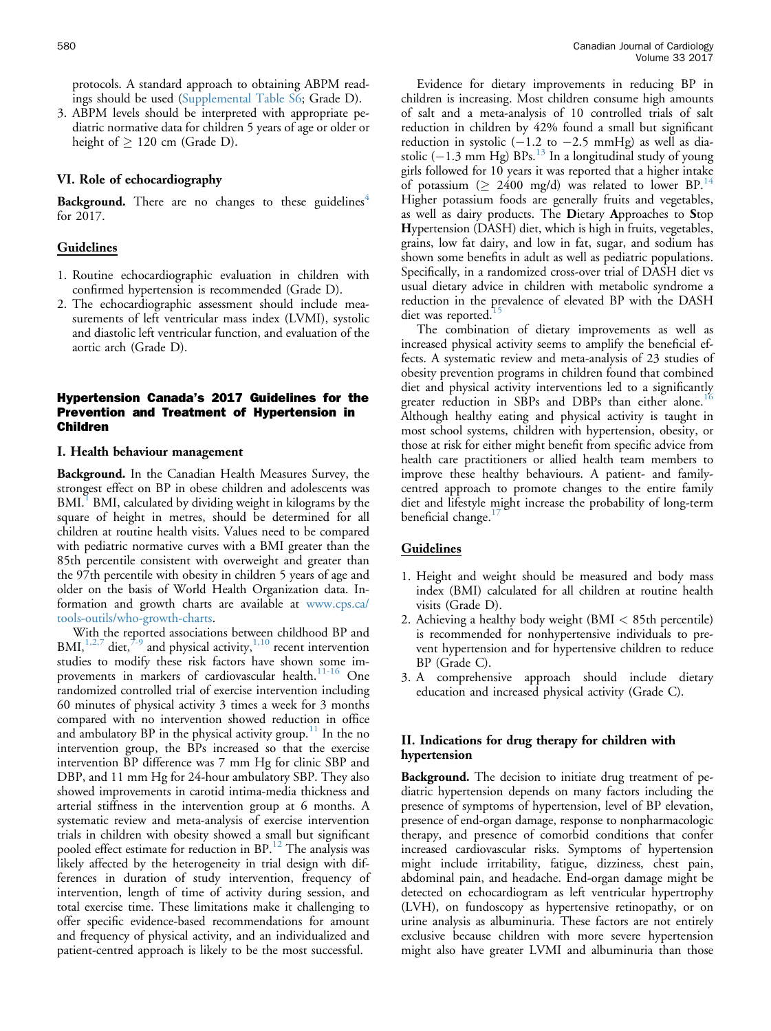protocols. A standard approach to obtaining ABPM readings should be used (Supplemental Table S6; Grade D).

3. ABPM levels should be interpreted with appropriate pediatric normative data for children 5 years of age or older or height of  $\geq 120$  cm (Grade D).

#### VI. Role of echocardiography

**Background.** There are no changes to these guidelines<sup> $4$ </sup> for 2017.

#### Guidelines

- 1. Routine echocardiographic evaluation in children with confirmed hypertension is recommended (Grade D).
- 2. The echocardiographic assessment should include measurements of left ventricular mass index (LVMI), systolic and diastolic left ventricular function, and evaluation of the aortic arch (Grade D).

## Hypertension Canada's 2017 Guidelines for the Prevention and Treatment of Hypertension in Children

#### I. Health behaviour management

Background. In the Canadian Health Measures Survey, the strongest effect on BP in obese children and adolescents was  $BML<sup>1</sup>$  $BML<sup>1</sup>$  $BML<sup>1</sup>$  BMI, calculated by dividing weight in kilograms by the square of height in metres, should be determined for all children at routine health visits. Values need to be compared with pediatric normative curves with a BMI greater than the 85th percentile consistent with overweight and greater than the 97th percentile with obesity in children 5 years of age and older on the basis of World Health Organization data. Information and growth charts are available at [www.cps.ca/](http://www.cps.ca/tools-outils/who-growth-charts) [tools-outils/who-growth-charts](http://www.cps.ca/tools-outils/who-growth-charts).

With the reported associations between childhood BP and BMI, $^{1,2,7}$  $^{1,2,7}$  $^{1,2,7}$  diet, $^{7-9}$  $^{7-9}$  $^{7-9}$  and physical activity, $^{1,10}$  $^{1,10}$  $^{1,10}$  recent intervention studies to modify these risk factors have shown some im-provements in markers of cardiovascular health.<sup>[11-16](#page-7-0)</sup> One randomized controlled trial of exercise intervention including 60 minutes of physical activity 3 times a week for 3 months compared with no intervention showed reduction in office and ambulatory BP in the physical activity group.<sup>[11](#page-7-0)</sup> In the no intervention group, the BPs increased so that the exercise intervention BP difference was 7 mm Hg for clinic SBP and DBP, and 11 mm Hg for 24-hour ambulatory SBP. They also showed improvements in carotid intima-media thickness and arterial stiffness in the intervention group at 6 months. A systematic review and meta-analysis of exercise intervention trials in children with obesity showed a small but significant pooled effect estimate for reduction in  $BP<sup>12</sup>$  $BP<sup>12</sup>$  $BP<sup>12</sup>$ . The analysis was likely affected by the heterogeneity in trial design with differences in duration of study intervention, frequency of intervention, length of time of activity during session, and total exercise time. These limitations make it challenging to offer specific evidence-based recommendations for amount and frequency of physical activity, and an individualized and patient-centred approach is likely to be the most successful.

Evidence for dietary improvements in reducing BP in children is increasing. Most children consume high amounts of salt and a meta-analysis of 10 controlled trials of salt reduction in children by 42% found a small but significant reduction in systolic  $(-1.2$  to  $-2.5$  mmHg) as well as diastolic ( $-1.3$  mm Hg) BPs.<sup>[13](#page-7-0)</sup> In a longitudinal study of young girls followed for 10 years it was reported that a higher intake of potassium ( $\geq 2400$  mg/d) was related to lower BP.<sup>[14](#page-7-0)</sup> Higher potassium foods are generally fruits and vegetables, as well as dairy products. The Dietary Approaches to Stop Hypertension (DASH) diet, which is high in fruits, vegetables, grains, low fat dairy, and low in fat, sugar, and sodium has shown some benefits in adult as well as pediatric populations. Specifically, in a randomized cross-over trial of DASH diet vs usual dietary advice in children with metabolic syndrome a reduction in the prevalence of elevated BP with the DASH diet was reported.

The combination of dietary improvements as well as increased physical activity seems to amplify the beneficial effects. A systematic review and meta-analysis of 23 studies of obesity prevention programs in children found that combined diet and physical activity interventions led to a significantly greater reduction in SBPs and DBPs than either alone.<sup>[16](#page-7-0)</sup> Although healthy eating and physical activity is taught in most school systems, children with hypertension, obesity, or those at risk for either might benefit from specific advice from health care practitioners or allied health team members to improve these healthy behaviours. A patient- and familycentred approach to promote changes to the entire family diet and lifestyle might increase the probability of long-term beneficial change.<sup>[17](#page-7-0)</sup>

## Guidelines

- 1. Height and weight should be measured and body mass index (BMI) calculated for all children at routine health visits (Grade D).
- 2. Achieving a healthy body weight (BMI < 85th percentile) is recommended for nonhypertensive individuals to prevent hypertension and for hypertensive children to reduce BP (Grade C).
- 3. A comprehensive approach should include dietary education and increased physical activity (Grade C).

# II. Indications for drug therapy for children with hypertension

Background. The decision to initiate drug treatment of pediatric hypertension depends on many factors including the presence of symptoms of hypertension, level of BP elevation, presence of end-organ damage, response to nonpharmacologic therapy, and presence of comorbid conditions that confer increased cardiovascular risks. Symptoms of hypertension might include irritability, fatigue, dizziness, chest pain, abdominal pain, and headache. End-organ damage might be detected on echocardiogram as left ventricular hypertrophy (LVH), on fundoscopy as hypertensive retinopathy, or on urine analysis as albuminuria. These factors are not entirely exclusive because children with more severe hypertension might also have greater LVMI and albuminuria than those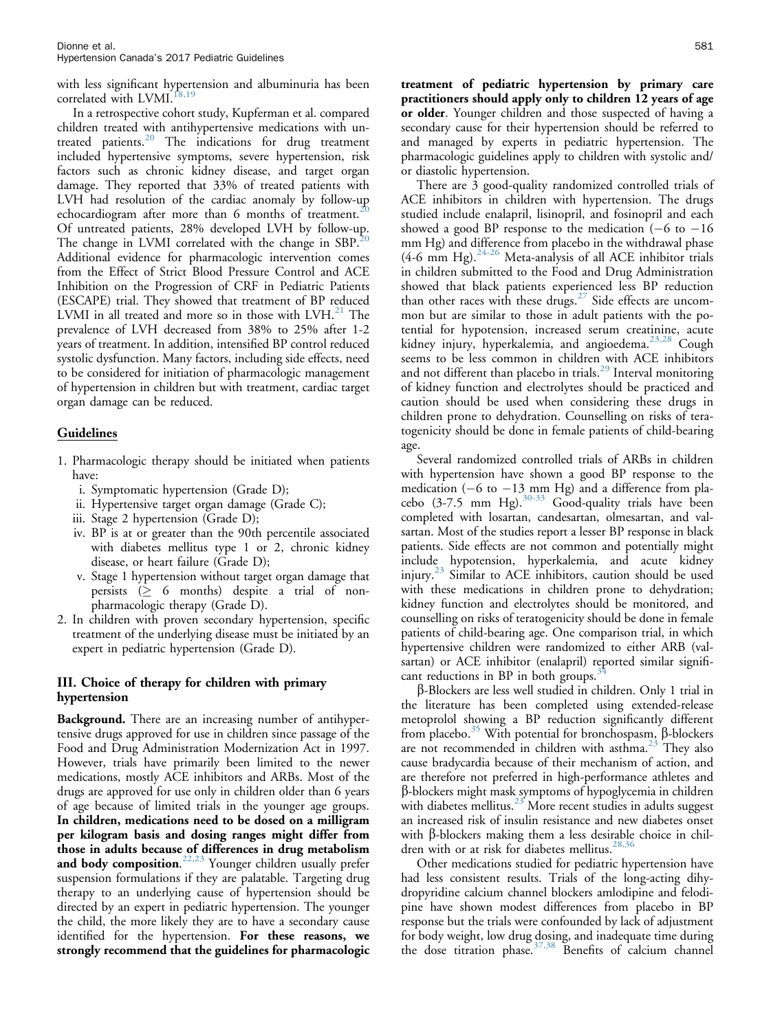with less significant hypertension and albuminuria has been correlated with LVMI. $^{18,1}$ 

In a retrospective cohort study, Kupferman et al. compared children treated with antihypertensive medications with untreated patients. $20$  The indications for drug treatment included hypertensive symptoms, severe hypertension, risk factors such as chronic kidney disease, and target organ damage. They reported that 33% of treated patients with LVH had resolution of the cardiac anomaly by follow-up echocardiogram after more than 6 months of treatment.<sup>2</sup> Of untreated patients, 28% developed LVH by follow-up. The change in LVMI correlated with the change in  $SBP<sup>20</sup>$  $SBP<sup>20</sup>$  $SBP<sup>20</sup>$ Additional evidence for pharmacologic intervention comes from the Effect of Strict Blood Pressure Control and ACE Inhibition on the Progression of CRF in Pediatric Patients (ESCAPE) trial. They showed that treatment of BP reduced LVMI in all treated and more so in those with  $LVM<sup>21</sup>$  $LVM<sup>21</sup>$  $LVM<sup>21</sup>$ . The prevalence of LVH decreased from 38% to 25% after 1-2 years of treatment. In addition, intensified BP control reduced systolic dysfunction. Many factors, including side effects, need to be considered for initiation of pharmacologic management of hypertension in children but with treatment, cardiac target organ damage can be reduced.

# **Guidelines**

- 1. Pharmacologic therapy should be initiated when patients have:
	- i. Symptomatic hypertension (Grade D);
	- ii. Hypertensive target organ damage (Grade C);
	- iii. Stage 2 hypertension (Grade D);
	- iv. BP is at or greater than the 90th percentile associated with diabetes mellitus type 1 or 2, chronic kidney disease, or heart failure (Grade D);
	- v. Stage 1 hypertension without target organ damage that persists  $( \geq 6 \text{ months} )$  despite a trial of nonpharmacologic therapy (Grade D).
- 2. In children with proven secondary hypertension, specific treatment of the underlying disease must be initiated by an expert in pediatric hypertension (Grade D).

# III. Choice of therapy for children with primary hypertension

Background. There are an increasing number of antihypertensive drugs approved for use in children since passage of the Food and Drug Administration Modernization Act in 1997. However, trials have primarily been limited to the newer medications, mostly ACE inhibitors and ARBs. Most of the drugs are approved for use only in children older than 6 years of age because of limited trials in the younger age groups. In children, medications need to be dosed on a milligram per kilogram basis and dosing ranges might differ from those in adults because of differences in drug metabolism and body composition.<sup>[22,23](#page-7-0)</sup> Younger children usually prefer suspension formulations if they are palatable. Targeting drug therapy to an underlying cause of hypertension should be directed by an expert in pediatric hypertension. The younger the child, the more likely they are to have a secondary cause identified for the hypertension. For these reasons, we strongly recommend that the guidelines for pharmacologic treatment of pediatric hypertension by primary care practitioners should apply only to children 12 years of age or older. Younger children and those suspected of having a secondary cause for their hypertension should be referred to and managed by experts in pediatric hypertension. The pharmacologic guidelines apply to children with systolic and/ or diastolic hypertension.

There are 3 good-quality randomized controlled trials of ACE inhibitors in children with hypertension. The drugs studied include enalapril, lisinopril, and fosinopril and each showed a good BP response to the medication  $(-6 \text{ to } -16)$ mm Hg) and difference from placebo in the withdrawal phase (4-6 mm Hg). $24-26$  Meta-analysis of all ACE inhibitor trials in children submitted to the Food and Drug Administration showed that black patients experienced less BP reduction than other races with these drugs. $27$  Side effects are uncommon but are similar to those in adult patients with the potential for hypotension, increased serum creatinine, acute kidney injury, hyperkalemia, and angioedema.<sup>[23,28](#page-7-0)</sup> Cough seems to be less common in children with ACE inhibitors and not different than placebo in trials.<sup>[29](#page-7-0)</sup> Interval monitoring of kidney function and electrolytes should be practiced and caution should be used when considering these drugs in children prone to dehydration. Counselling on risks of teratogenicity should be done in female patients of child-bearing age.

Several randomized controlled trials of ARBs in children with hypertension have shown a good BP response to the medication  $(-6 \text{ to } -13 \text{ mm Hg})$  and a difference from placebo (3-7.5 mm Hg). $30-33$  Good-quality trials have been completed with losartan, candesartan, olmesartan, and valsartan. Most of the studies report a lesser BP response in black patients. Side effects are not common and potentially might include hypotension, hyperkalemia, and acute kidney injury.[23](#page-7-0) Similar to ACE inhibitors, caution should be used with these medications in children prone to dehydration; kidney function and electrolytes should be monitored, and counselling on risks of teratogenicity should be done in female patients of child-bearing age. One comparison trial, in which hypertensive children were randomized to either ARB (valsartan) or ACE inhibitor (enalapril) reported similar significant reductions in BP in both groups.<sup>3</sup>

b-Blockers are less well studied in children. Only 1 trial in the literature has been completed using extended-release metoprolol showing a BP reduction significantly different from placebo.<sup>[35](#page-7-0)</sup> With potential for bronchospasm,  $\beta$ -blockers are not recommended in children with asthma.<sup>[23](#page-7-0)</sup> They also cause bradycardia because of their mechanism of action, and are therefore not preferred in high-performance athletes and b-blockers might mask symptoms of hypoglycemia in children with diabetes mellitus. $23$  More recent studies in adults suggest an increased risk of insulin resistance and new diabetes onset with  $\beta$ -blockers making them a less desirable choice in chil-dren with or at risk for diabetes mellitus.<sup>[28,36](#page-7-0)</sup>

Other medications studied for pediatric hypertension have had less consistent results. Trials of the long-acting dihydropyridine calcium channel blockers amlodipine and felodipine have shown modest differences from placebo in BP response but the trials were confounded by lack of adjustment for body weight, low drug dosing, and inadequate time during the dose titration phase. $37,38$  Benefits of calcium channel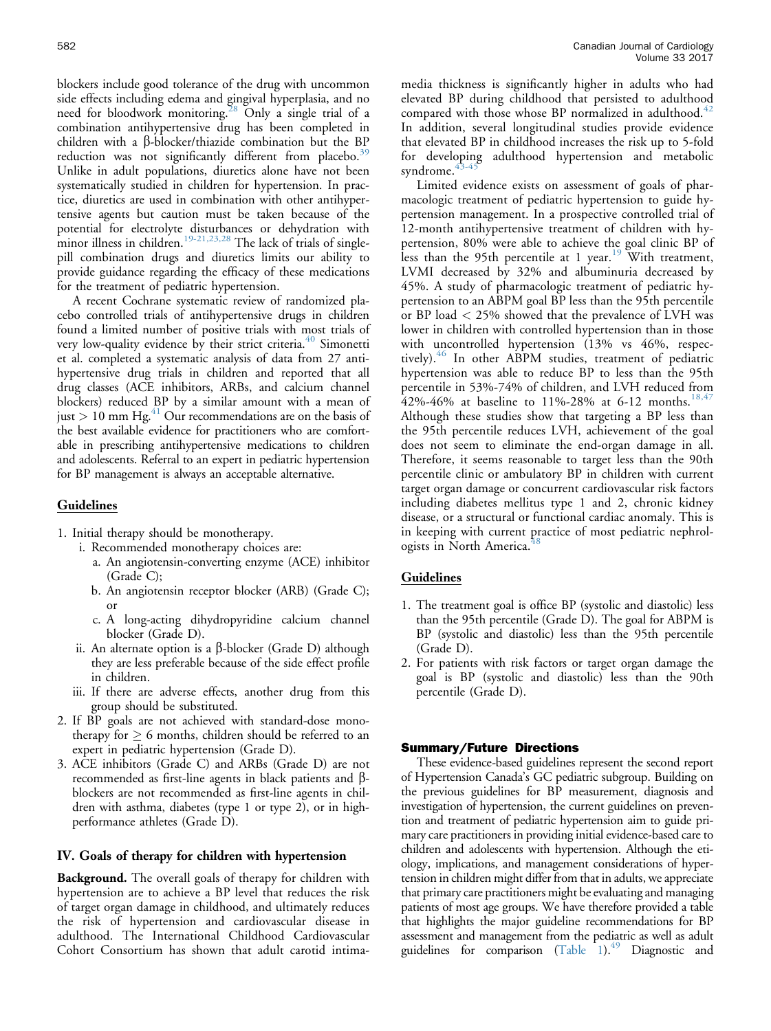blockers include good tolerance of the drug with uncommon side effects including edema and gingival hyperplasia, and no need for bloodwork monitoring.<sup>28</sup> Only a single trial of a combination antihypertensive drug has been completed in children with a  $\beta$ -blocker/thiazide combination but the BP reduction was not significantly different from placebo.<sup>[39](#page-7-0)</sup> Unlike in adult populations, diuretics alone have not been systematically studied in children for hypertension. In practice, diuretics are used in combination with other antihypertensive agents but caution must be taken because of the potential for electrolyte disturbances or dehydration with minor illness in children.<sup>[19-21,23,28](#page-7-0)</sup> The lack of trials of singlepill combination drugs and diuretics limits our ability to provide guidance regarding the efficacy of these medications for the treatment of pediatric hypertension.

A recent Cochrane systematic review of randomized placebo controlled trials of antihypertensive drugs in children found a limited number of positive trials with most trials of very low-quality evidence by their strict criteria.<sup>[40](#page-7-0)</sup> Simonetti et al. completed a systematic analysis of data from 27 antihypertensive drug trials in children and reported that all drug classes (ACE inhibitors, ARBs, and calcium channel blockers) reduced BP by a similar amount with a mean of just  $> 10$  mm Hg.<sup>[41](#page-7-0)</sup> Our recommendations are on the basis of the best available evidence for practitioners who are comfortable in prescribing antihypertensive medications to children and adolescents. Referral to an expert in pediatric hypertension for BP management is always an acceptable alternative.

## Guidelines

- 1. Initial therapy should be monotherapy.
	- i. Recommended monotherapy choices are:
		- a. An angiotensin-converting enzyme (ACE) inhibitor (Grade C);
		- b. An angiotensin receptor blocker (ARB) (Grade C); or
		- c. A long-acting dihydropyridine calcium channel blocker (Grade D).
	- ii. An alternate option is a  $\beta$ -blocker (Grade D) although they are less preferable because of the side effect profile in children.
	- iii. If there are adverse effects, another drug from this group should be substituted.
- 2. If BP goals are not achieved with standard-dose monotherapy for  $\geq 6$  months, children should be referred to an expert in pediatric hypertension (Grade D).
- 3. ACE inhibitors (Grade C) and ARBs (Grade D) are not recommended as first-line agents in black patients and  $\beta$ blockers are not recommended as first-line agents in children with asthma, diabetes (type 1 or type 2), or in highperformance athletes (Grade D).

### IV. Goals of therapy for children with hypertension

Background. The overall goals of therapy for children with hypertension are to achieve a BP level that reduces the risk of target organ damage in childhood, and ultimately reduces the risk of hypertension and cardiovascular disease in adulthood. The International Childhood Cardiovascular Cohort Consortium has shown that adult carotid intimamedia thickness is significantly higher in adults who had elevated BP during childhood that persisted to adulthood compared with those whose BP normalized in adulthood. $42$ In addition, several longitudinal studies provide evidence that elevated BP in childhood increases the risk up to 5-fold for developing adulthood hypertension and metabolic syndrome.

Limited evidence exists on assessment of goals of pharmacologic treatment of pediatric hypertension to guide hypertension management. In a prospective controlled trial of 12-month antihypertensive treatment of children with hypertension, 80% were able to achieve the goal clinic BP of less than the 95th percentile at 1 year.<sup>[19](#page-7-0)</sup> With treatment, LVMI decreased by 32% and albuminuria decreased by 45%. A study of pharmacologic treatment of pediatric hypertension to an ABPM goal BP less than the 95th percentile or BP load < 25% showed that the prevalence of LVH was lower in children with controlled hypertension than in those with uncontrolled hypertension (13% vs 46%, respec-tively).<sup>[46](#page-8-0)</sup> In other ABPM studies, treatment of pediatric hypertension was able to reduce BP to less than the 95th percentile in 53%-74% of children, and LVH reduced from 42%-46% at baseline to 11%-28% at 6-12 months.<sup>[18,47](#page-7-0)</sup> Although these studies show that targeting a BP less than the 95th percentile reduces LVH, achievement of the goal does not seem to eliminate the end-organ damage in all. Therefore, it seems reasonable to target less than the 90th percentile clinic or ambulatory BP in children with current target organ damage or concurrent cardiovascular risk factors including diabetes mellitus type 1 and 2, chronic kidney disease, or a structural or functional cardiac anomaly. This is in keeping with current practice of most pediatric nephrologists in North America.<sup>4</sup>

## Guidelines

- 1. The treatment goal is office BP (systolic and diastolic) less than the 95th percentile (Grade D). The goal for ABPM is BP (systolic and diastolic) less than the 95th percentile (Grade D).
- 2. For patients with risk factors or target organ damage the goal is BP (systolic and diastolic) less than the 90th percentile (Grade D).

## Summary/Future Directions

These evidence-based guidelines represent the second report of Hypertension Canada's GC pediatric subgroup. Building on the previous guidelines for BP measurement, diagnosis and investigation of hypertension, the current guidelines on prevention and treatment of pediatric hypertension aim to guide primary care practitioners in providing initial evidence-based care to children and adolescents with hypertension. Although the etiology, implications, and management considerations of hypertension in children might differ from that in adults, we appreciate that primary care practitioners might be evaluating and managing patients of most age groups. We have therefore provided a table that highlights the major guideline recommendations for BP assessment and management from the pediatric as well as adult guidelines for comparison [\(Table 1](#page-6-0)).<sup>49</sup> Diagnostic and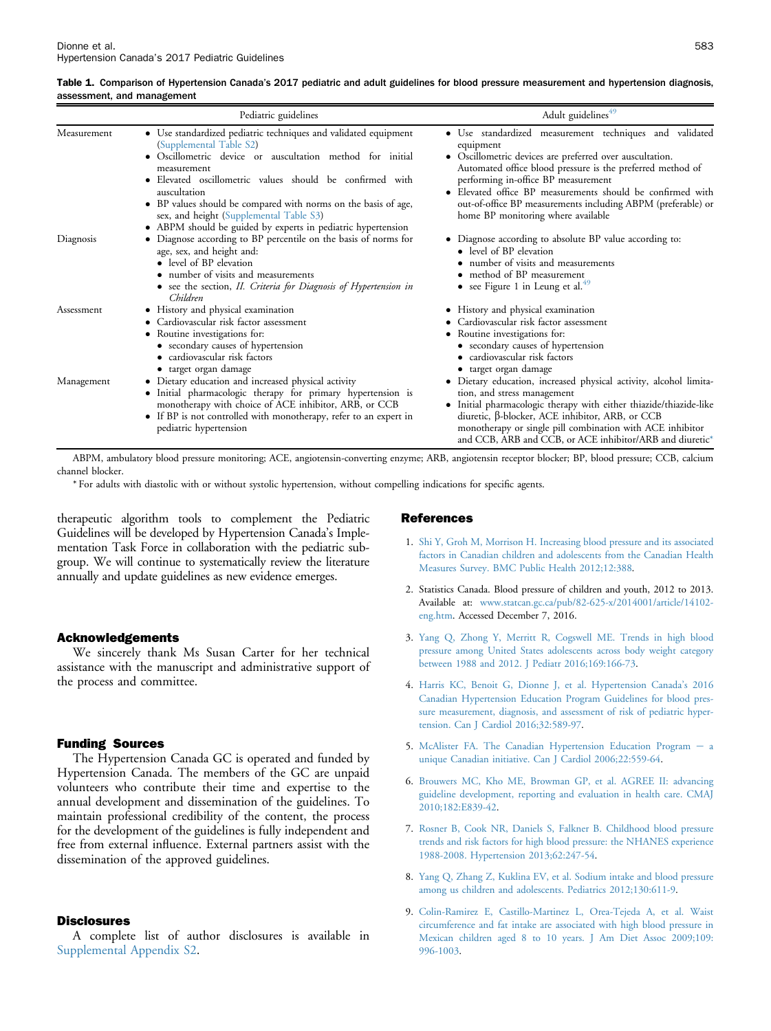<span id="page-6-0"></span>

| Table 1. Comparison of Hypertension Canada's 2017 pediatric and adult guidelines for blood pressure measurement and hypertension diagnosis, |  |  |
|---------------------------------------------------------------------------------------------------------------------------------------------|--|--|
| assessment, and management                                                                                                                  |  |  |

| Pediatric guidelines |                                                                                                                                                                                                                                                                                                                                                                                                                                 | Adult guidelines <sup>49</sup>                                                                                                                                                                                                                                                                                                                                                                            |  |
|----------------------|---------------------------------------------------------------------------------------------------------------------------------------------------------------------------------------------------------------------------------------------------------------------------------------------------------------------------------------------------------------------------------------------------------------------------------|-----------------------------------------------------------------------------------------------------------------------------------------------------------------------------------------------------------------------------------------------------------------------------------------------------------------------------------------------------------------------------------------------------------|--|
| Measurement          | • Use standardized pediatric techniques and validated equipment<br>(Supplemental Table S2)<br>· Oscillometric device or auscultation method for initial<br>measurement<br>· Elevated oscillometric values should be confirmed with<br>auscultation<br>• BP values should be compared with norms on the basis of age,<br>sex, and height (Supplemental Table S3)<br>• ABPM should be guided by experts in pediatric hypertension | · Use standardized measurement techniques and validated<br>equipment<br>• Oscillometric devices are preferred over auscultation.<br>Automated office blood pressure is the preferred method of<br>performing in-office BP measurement<br>• Elevated office BP measurements should be confirmed with<br>out-of-office BP measurements including ABPM (preferable) or<br>home BP monitoring where available |  |
| Diagnosis            | • Diagnose according to BP percentile on the basis of norms for<br>age, sex, and height and:<br>• level of BP elevation<br>• number of visits and measurements<br>• see the section, II. Criteria for Diagnosis of Hypertension in<br>Children                                                                                                                                                                                  | • Diagnose according to absolute BP value according to:<br>level of BP elevation<br>number of visits and measurements<br>method of BP measurement<br>• see Figure 1 in Leung et al. $49$                                                                                                                                                                                                                  |  |
| Assessment           | • History and physical examination<br>• Cardiovascular risk factor assessment<br>• Routine investigations for:<br>• secondary causes of hypertension<br>cardiovascular risk factors<br>• target organ damage                                                                                                                                                                                                                    | • History and physical examination<br>Cardiovascular risk factor assessment<br>• Routine investigations for:<br>• secondary causes of hypertension<br>cardiovascular risk factors<br>target organ damage                                                                                                                                                                                                  |  |
| Management           | • Dietary education and increased physical activity<br>• Initial pharmacologic therapy for primary hypertension is<br>monotherapy with choice of ACE inhibitor, ARB, or CCB<br>• If BP is not controlled with monotherapy, refer to an expert in<br>pediatric hypertension                                                                                                                                                      | • Dietary education, increased physical activity, alcohol limita-<br>tion, and stress management<br>· Initial pharmacologic therapy with either thiazide/thiazide-like<br>diuretic, $\beta$ -blocker, ACE inhibitor, ARB, or CCB<br>monotherapy or single pill combination with ACE inhibitor<br>and CCB, ARB and CCB, or ACE inhibitor/ARB and diuretic*                                                 |  |

ABPM, ambulatory blood pressure monitoring; ACE, angiotensin-converting enzyme; ARB, angiotensin receptor blocker; BP, blood pressure; CCB, calcium channel blocker.

\* For adults with diastolic with or without systolic hypertension, without compelling indications for specific agents.

therapeutic algorithm tools to complement the Pediatric Guidelines will be developed by Hypertension Canada's Implementation Task Force in collaboration with the pediatric subgroup. We will continue to systematically review the literature annually and update guidelines as new evidence emerges.

#### Acknowledgements

We sincerely thank Ms Susan Carter for her technical assistance with the manuscript and administrative support of the process and committee.

### Funding Sources

The Hypertension Canada GC is operated and funded by Hypertension Canada. The members of the GC are unpaid volunteers who contribute their time and expertise to the annual development and dissemination of the guidelines. To maintain professional credibility of the content, the process for the development of the guidelines is fully independent and free from external influence. External partners assist with the dissemination of the approved guidelines.

#### **Disclosures**

A complete list of author disclosures is available in Supplemental Appendix S2.

#### References

- 1. [Shi Y, Groh M, Morrison H. Increasing blood pressure and its associated](http://refhub.elsevier.com/S0828-282X(17)30112-5/sref1) [factors in Canadian children and adolescents from the Canadian Health](http://refhub.elsevier.com/S0828-282X(17)30112-5/sref1) [Measures Survey. BMC Public Health 2012;12:388.](http://refhub.elsevier.com/S0828-282X(17)30112-5/sref1)
- 2. Statistics Canada. Blood pressure of children and youth, 2012 to 2013. Available at: [www.statcan.gc.ca/pub/82-625-x/2014001/article/14102](http://www.statcan.gc.ca/pub/82-625-x/2014001/article/14102-eng.htm) [eng.htm](http://www.statcan.gc.ca/pub/82-625-x/2014001/article/14102-eng.htm). Accessed December 7, 2016.
- 3. [Yang Q, Zhong Y, Merritt R, Cogswell ME. Trends in high blood](http://refhub.elsevier.com/S0828-282X(17)30112-5/sref3) [pressure among United States adolescents across body weight category](http://refhub.elsevier.com/S0828-282X(17)30112-5/sref3) [between 1988 and 2012. J Pediatr 2016;169:166-73](http://refhub.elsevier.com/S0828-282X(17)30112-5/sref3).
- 4. [Harris KC, Benoit G, Dionne J, et al. Hypertension Canada](http://refhub.elsevier.com/S0828-282X(17)30112-5/sref4)'s 2016 [Canadian Hypertension Education Program Guidelines for blood pres](http://refhub.elsevier.com/S0828-282X(17)30112-5/sref4)[sure measurement, diagnosis, and assessment of risk of pediatric hyper](http://refhub.elsevier.com/S0828-282X(17)30112-5/sref4)[tension. Can J Cardiol 2016;32:589-97](http://refhub.elsevier.com/S0828-282X(17)30112-5/sref4).
- 5. [McAlister FA. The Canadian Hypertension Education Program](http://refhub.elsevier.com/S0828-282X(17)30112-5/sref5)  $-$  [a](http://refhub.elsevier.com/S0828-282X(17)30112-5/sref5) [unique Canadian initiative. Can J Cardiol 2006;22:559-64](http://refhub.elsevier.com/S0828-282X(17)30112-5/sref5).
- 6. [Brouwers MC, Kho ME, Browman GP, et al. AGREE II: advancing](http://refhub.elsevier.com/S0828-282X(17)30112-5/sref6) [guideline development, reporting and evaluation in health care. CMAJ](http://refhub.elsevier.com/S0828-282X(17)30112-5/sref6) [2010;182:E839-42.](http://refhub.elsevier.com/S0828-282X(17)30112-5/sref6)
- 7. [Rosner B, Cook NR, Daniels S, Falkner B. Childhood blood pressure](http://refhub.elsevier.com/S0828-282X(17)30112-5/sref7) [trends and risk factors for high blood pressure: the NHANES experience](http://refhub.elsevier.com/S0828-282X(17)30112-5/sref7) [1988-2008. Hypertension 2013;62:247-54](http://refhub.elsevier.com/S0828-282X(17)30112-5/sref7).
- 8. [Yang Q, Zhang Z, Kuklina EV, et al. Sodium intake and blood pressure](http://refhub.elsevier.com/S0828-282X(17)30112-5/sref8) [among us children and adolescents. Pediatrics 2012;130:611-9.](http://refhub.elsevier.com/S0828-282X(17)30112-5/sref8)
- 9. [Colin-Ramirez E, Castillo-Martinez L, Orea-Tejeda A, et al. Waist](http://refhub.elsevier.com/S0828-282X(17)30112-5/sref9) [circumference and fat intake are associated with high blood pressure in](http://refhub.elsevier.com/S0828-282X(17)30112-5/sref9) [Mexican children aged 8 to 10 years. J Am Diet Assoc 2009;109:](http://refhub.elsevier.com/S0828-282X(17)30112-5/sref9) [996-1003](http://refhub.elsevier.com/S0828-282X(17)30112-5/sref9).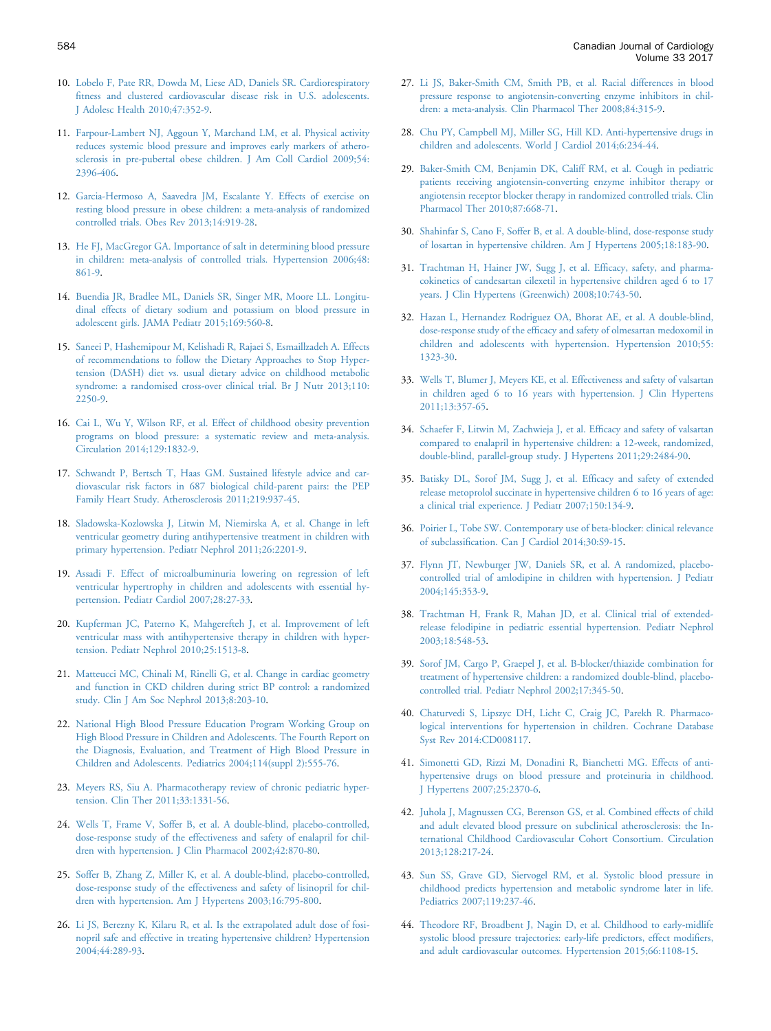- <span id="page-7-0"></span>10. [Lobelo F, Pate RR, Dowda M, Liese AD, Daniels SR. Cardiorespiratory](http://refhub.elsevier.com/S0828-282X(17)30112-5/sref10) fi[tness and clustered cardiovascular disease risk in U.S. adolescents.](http://refhub.elsevier.com/S0828-282X(17)30112-5/sref10) [J Adolesc Health 2010;47:352-9.](http://refhub.elsevier.com/S0828-282X(17)30112-5/sref10)
- 11. [Farpour-Lambert NJ, Aggoun Y, Marchand LM, et al. Physical activity](http://refhub.elsevier.com/S0828-282X(17)30112-5/sref11) [reduces systemic blood pressure and improves early markers of athero](http://refhub.elsevier.com/S0828-282X(17)30112-5/sref11)[sclerosis in pre-pubertal obese children. J Am Coll Cardiol 2009;54:](http://refhub.elsevier.com/S0828-282X(17)30112-5/sref11) [2396-406.](http://refhub.elsevier.com/S0828-282X(17)30112-5/sref11)
- 12. [Garcia-Hermoso A, Saavedra JM, Escalante Y. Effects of exercise on](http://refhub.elsevier.com/S0828-282X(17)30112-5/sref12) [resting blood pressure in obese children: a meta-analysis of randomized](http://refhub.elsevier.com/S0828-282X(17)30112-5/sref12) [controlled trials. Obes Rev 2013;14:919-28](http://refhub.elsevier.com/S0828-282X(17)30112-5/sref12).
- 13. [He FJ, MacGregor GA. Importance of salt in determining blood pressure](http://refhub.elsevier.com/S0828-282X(17)30112-5/sref13) [in children: meta-analysis of controlled trials. Hypertension 2006;48:](http://refhub.elsevier.com/S0828-282X(17)30112-5/sref13) [861-9.](http://refhub.elsevier.com/S0828-282X(17)30112-5/sref13)
- 14. [Buendia JR, Bradlee ML, Daniels SR, Singer MR, Moore LL. Longitu](http://refhub.elsevier.com/S0828-282X(17)30112-5/sref14)[dinal effects of dietary sodium and potassium on blood pressure in](http://refhub.elsevier.com/S0828-282X(17)30112-5/sref14) [adolescent girls. JAMA Pediatr 2015;169:560-8](http://refhub.elsevier.com/S0828-282X(17)30112-5/sref14).
- 15. [Saneei P, Hashemipour M, Kelishadi R, Rajaei S, Esmaillzadeh A. Effects](http://refhub.elsevier.com/S0828-282X(17)30112-5/sref15) [of recommendations to follow the Dietary Approaches to Stop Hyper](http://refhub.elsevier.com/S0828-282X(17)30112-5/sref15)[tension \(DASH\) diet vs. usual dietary advice on childhood metabolic](http://refhub.elsevier.com/S0828-282X(17)30112-5/sref15) [syndrome: a randomised cross-over clinical trial. Br J Nutr 2013;110:](http://refhub.elsevier.com/S0828-282X(17)30112-5/sref15) [2250-9.](http://refhub.elsevier.com/S0828-282X(17)30112-5/sref15)
- 16. [Cai L, Wu Y, Wilson RF, et al. Effect of childhood obesity prevention](http://refhub.elsevier.com/S0828-282X(17)30112-5/sref16) [programs on blood pressure: a systematic review and meta-analysis.](http://refhub.elsevier.com/S0828-282X(17)30112-5/sref16) [Circulation 2014;129:1832-9.](http://refhub.elsevier.com/S0828-282X(17)30112-5/sref16)
- 17. [Schwandt P, Bertsch T, Haas GM. Sustained lifestyle advice and car](http://refhub.elsevier.com/S0828-282X(17)30112-5/sref17)[diovascular risk factors in 687 biological child-parent pairs: the PEP](http://refhub.elsevier.com/S0828-282X(17)30112-5/sref17) [Family Heart Study. Atherosclerosis 2011;219:937-45.](http://refhub.elsevier.com/S0828-282X(17)30112-5/sref17)
- 18. [Sladowska-Kozlowska J, Litwin M, Niemirska A, et al. Change in left](http://refhub.elsevier.com/S0828-282X(17)30112-5/sref18) [ventricular geometry during antihypertensive treatment in children with](http://refhub.elsevier.com/S0828-282X(17)30112-5/sref18) [primary hypertension. Pediatr Nephrol 2011;26:2201-9.](http://refhub.elsevier.com/S0828-282X(17)30112-5/sref18)
- 19. [Assadi F. Effect of microalbuminuria lowering on regression of left](http://refhub.elsevier.com/S0828-282X(17)30112-5/sref19) [ventricular hypertrophy in children and adolescents with essential hy](http://refhub.elsevier.com/S0828-282X(17)30112-5/sref19)[pertension. Pediatr Cardiol 2007;28:27-33.](http://refhub.elsevier.com/S0828-282X(17)30112-5/sref19)
- 20. [Kupferman JC, Paterno K, Mahgerefteh J, et al. Improvement of left](http://refhub.elsevier.com/S0828-282X(17)30112-5/sref20) [ventricular mass with antihypertensive therapy in children with hyper](http://refhub.elsevier.com/S0828-282X(17)30112-5/sref20)[tension. Pediatr Nephrol 2010;25:1513-8.](http://refhub.elsevier.com/S0828-282X(17)30112-5/sref20)
- 21. [Matteucci MC, Chinali M, Rinelli G, et al. Change in cardiac geometry](http://refhub.elsevier.com/S0828-282X(17)30112-5/sref21) [and function in CKD children during strict BP control: a randomized](http://refhub.elsevier.com/S0828-282X(17)30112-5/sref21) [study. Clin J Am Soc Nephrol 2013;8:203-10.](http://refhub.elsevier.com/S0828-282X(17)30112-5/sref21)
- 22. [National High Blood Pressure Education Program Working Group on](http://refhub.elsevier.com/S0828-282X(17)30112-5/sref22) [High Blood Pressure in Children and Adolescents. The Fourth Report on](http://refhub.elsevier.com/S0828-282X(17)30112-5/sref22) [the Diagnosis, Evaluation, and Treatment of High Blood Pressure in](http://refhub.elsevier.com/S0828-282X(17)30112-5/sref22) [Children and Adolescents. Pediatrics 2004;114\(suppl 2\):555-76.](http://refhub.elsevier.com/S0828-282X(17)30112-5/sref22)
- 23. [Meyers RS, Siu A. Pharmacotherapy review of chronic pediatric hyper](http://refhub.elsevier.com/S0828-282X(17)30112-5/sref23)[tension. Clin Ther 2011;33:1331-56](http://refhub.elsevier.com/S0828-282X(17)30112-5/sref23).
- 24. [Wells T, Frame V, Soffer B, et al. A double-blind, placebo-controlled,](http://refhub.elsevier.com/S0828-282X(17)30112-5/sref24) [dose-response study of the effectiveness and safety of enalapril for chil](http://refhub.elsevier.com/S0828-282X(17)30112-5/sref24)[dren with hypertension. J Clin Pharmacol 2002;42:870-80.](http://refhub.elsevier.com/S0828-282X(17)30112-5/sref24)
- 25. [Soffer B, Zhang Z, Miller K, et al. A double-blind, placebo-controlled,](http://refhub.elsevier.com/S0828-282X(17)30112-5/sref25) [dose-response study of the effectiveness and safety of lisinopril for chil](http://refhub.elsevier.com/S0828-282X(17)30112-5/sref25)[dren with hypertension. Am J Hypertens 2003;16:795-800.](http://refhub.elsevier.com/S0828-282X(17)30112-5/sref25)
- 26. [Li JS, Berezny K, Kilaru R, et al. Is the extrapolated adult dose of fosi](http://refhub.elsevier.com/S0828-282X(17)30112-5/sref26)[nopril safe and effective in treating hypertensive children? Hypertension](http://refhub.elsevier.com/S0828-282X(17)30112-5/sref26) [2004;44:289-93.](http://refhub.elsevier.com/S0828-282X(17)30112-5/sref26)
- 27. [Li JS, Baker-Smith CM, Smith PB, et al. Racial differences in blood](http://refhub.elsevier.com/S0828-282X(17)30112-5/sref27) [pressure response to angiotensin-converting enzyme inhibitors in chil](http://refhub.elsevier.com/S0828-282X(17)30112-5/sref27)[dren: a meta-analysis. Clin Pharmacol Ther 2008;84:315-9.](http://refhub.elsevier.com/S0828-282X(17)30112-5/sref27)
- 28. [Chu PY, Campbell MJ, Miller SG, Hill KD. Anti-hypertensive drugs in](http://refhub.elsevier.com/S0828-282X(17)30112-5/sref28) [children and adolescents. World J Cardiol 2014;6:234-44](http://refhub.elsevier.com/S0828-282X(17)30112-5/sref28).
- 29. [Baker-Smith CM, Benjamin DK, Califf RM, et al. Cough in pediatric](http://refhub.elsevier.com/S0828-282X(17)30112-5/sref29) [patients receiving angiotensin-converting enzyme inhibitor therapy or](http://refhub.elsevier.com/S0828-282X(17)30112-5/sref29) [angiotensin receptor blocker therapy in randomized controlled trials. Clin](http://refhub.elsevier.com/S0828-282X(17)30112-5/sref29) [Pharmacol Ther 2010;87:668-71](http://refhub.elsevier.com/S0828-282X(17)30112-5/sref29).
- 30. [Shahinfar S, Cano F, Soffer B, et al. A double-blind, dose-response study](http://refhub.elsevier.com/S0828-282X(17)30112-5/sref30) [of losartan in hypertensive children. Am J Hypertens 2005;18:183-90](http://refhub.elsevier.com/S0828-282X(17)30112-5/sref30).
- 31. [Trachtman H, Hainer JW, Sugg J, et al. Ef](http://refhub.elsevier.com/S0828-282X(17)30112-5/sref31)ficacy, safety, and pharma[cokinetics of candesartan cilexetil in hypertensive children aged 6 to 17](http://refhub.elsevier.com/S0828-282X(17)30112-5/sref31) [years. J Clin Hypertens \(Greenwich\) 2008;10:743-50](http://refhub.elsevier.com/S0828-282X(17)30112-5/sref31).
- 32. [Hazan L, Hernandez Rodriguez OA, Bhorat AE, et al. A double-blind,](http://refhub.elsevier.com/S0828-282X(17)30112-5/sref32) dose-response study of the effi[cacy and safety of olmesartan medoxomil in](http://refhub.elsevier.com/S0828-282X(17)30112-5/sref32) [children and adolescents with hypertension. Hypertension 2010;55:](http://refhub.elsevier.com/S0828-282X(17)30112-5/sref32) [1323-30.](http://refhub.elsevier.com/S0828-282X(17)30112-5/sref32)
- 33. [Wells T, Blumer J, Meyers KE, et al. Effectiveness and safety of valsartan](http://refhub.elsevier.com/S0828-282X(17)30112-5/sref33) [in children aged 6 to 16 years with hypertension. J Clin Hypertens](http://refhub.elsevier.com/S0828-282X(17)30112-5/sref33) [2011;13:357-65.](http://refhub.elsevier.com/S0828-282X(17)30112-5/sref33)
- 34. [Schaefer F, Litwin M, Zachwieja J, et al. Ef](http://refhub.elsevier.com/S0828-282X(17)30112-5/sref34)ficacy and safety of valsartan [compared to enalapril in hypertensive children: a 12-week, randomized,](http://refhub.elsevier.com/S0828-282X(17)30112-5/sref34) [double-blind, parallel-group study. J Hypertens 2011;29:2484-90](http://refhub.elsevier.com/S0828-282X(17)30112-5/sref34).
- 35. [Batisky DL, Sorof JM, Sugg J, et al. Ef](http://refhub.elsevier.com/S0828-282X(17)30112-5/sref35)ficacy and safety of extended [release metoprolol succinate in hypertensive children 6 to 16 years of age:](http://refhub.elsevier.com/S0828-282X(17)30112-5/sref35) [a clinical trial experience. J Pediatr 2007;150:134-9](http://refhub.elsevier.com/S0828-282X(17)30112-5/sref35).
- 36. [Poirier L, Tobe SW. Contemporary use of beta-blocker: clinical relevance](http://refhub.elsevier.com/S0828-282X(17)30112-5/sref36) of subclassifi[cation. Can J Cardiol 2014;30:S9-15.](http://refhub.elsevier.com/S0828-282X(17)30112-5/sref36)
- 37. [Flynn JT, Newburger JW, Daniels SR, et al. A randomized, placebo](http://refhub.elsevier.com/S0828-282X(17)30112-5/sref37)[controlled trial of amlodipine in children with hypertension. J Pediatr](http://refhub.elsevier.com/S0828-282X(17)30112-5/sref37) [2004;145:353-9.](http://refhub.elsevier.com/S0828-282X(17)30112-5/sref37)
- 38. [Trachtman H, Frank R, Mahan JD, et al. Clinical trial of extended](http://refhub.elsevier.com/S0828-282X(17)30112-5/sref38)[release felodipine in pediatric essential hypertension. Pediatr Nephrol](http://refhub.elsevier.com/S0828-282X(17)30112-5/sref38) [2003;18:548-53.](http://refhub.elsevier.com/S0828-282X(17)30112-5/sref38)
- 39. [Sorof JM, Cargo P, Graepel J, et al. B-blocker/thiazide combination for](http://refhub.elsevier.com/S0828-282X(17)30112-5/sref39) [treatment of hypertensive children: a randomized double-blind, placebo](http://refhub.elsevier.com/S0828-282X(17)30112-5/sref39)[controlled trial. Pediatr Nephrol 2002;17:345-50](http://refhub.elsevier.com/S0828-282X(17)30112-5/sref39).
- 40. [Chaturvedi S, Lipszyc DH, Licht C, Craig JC, Parekh R. Pharmaco](http://refhub.elsevier.com/S0828-282X(17)30112-5/sref40)[logical interventions for hypertension in children. Cochrane Database](http://refhub.elsevier.com/S0828-282X(17)30112-5/sref40) [Syst Rev 2014:CD008117.](http://refhub.elsevier.com/S0828-282X(17)30112-5/sref40)
- 41. [Simonetti GD, Rizzi M, Donadini R, Bianchetti MG. Effects of anti](http://refhub.elsevier.com/S0828-282X(17)30112-5/sref41)[hypertensive drugs on blood pressure and proteinuria in childhood.](http://refhub.elsevier.com/S0828-282X(17)30112-5/sref41) [J Hypertens 2007;25:2370-6.](http://refhub.elsevier.com/S0828-282X(17)30112-5/sref41)
- 42. [Juhola J, Magnussen CG, Berenson GS, et al. Combined effects of child](http://refhub.elsevier.com/S0828-282X(17)30112-5/sref42) [and adult elevated blood pressure on subclinical atherosclerosis: the In](http://refhub.elsevier.com/S0828-282X(17)30112-5/sref42)[ternational Childhood Cardiovascular Cohort Consortium. Circulation](http://refhub.elsevier.com/S0828-282X(17)30112-5/sref42) [2013;128:217-24.](http://refhub.elsevier.com/S0828-282X(17)30112-5/sref42)
- 43. [Sun SS, Grave GD, Siervogel RM, et al. Systolic blood pressure in](http://refhub.elsevier.com/S0828-282X(17)30112-5/sref43) [childhood predicts hypertension and metabolic syndrome later in life.](http://refhub.elsevier.com/S0828-282X(17)30112-5/sref43) [Pediatrics 2007;119:237-46.](http://refhub.elsevier.com/S0828-282X(17)30112-5/sref43)
- 44. [Theodore RF, Broadbent J, Nagin D, et al. Childhood to early-midlife](http://refhub.elsevier.com/S0828-282X(17)30112-5/sref44) [systolic blood pressure trajectories: early-life predictors, effect modi](http://refhub.elsevier.com/S0828-282X(17)30112-5/sref44)fiers, [and adult cardiovascular outcomes. Hypertension 2015;66:1108-15.](http://refhub.elsevier.com/S0828-282X(17)30112-5/sref44)